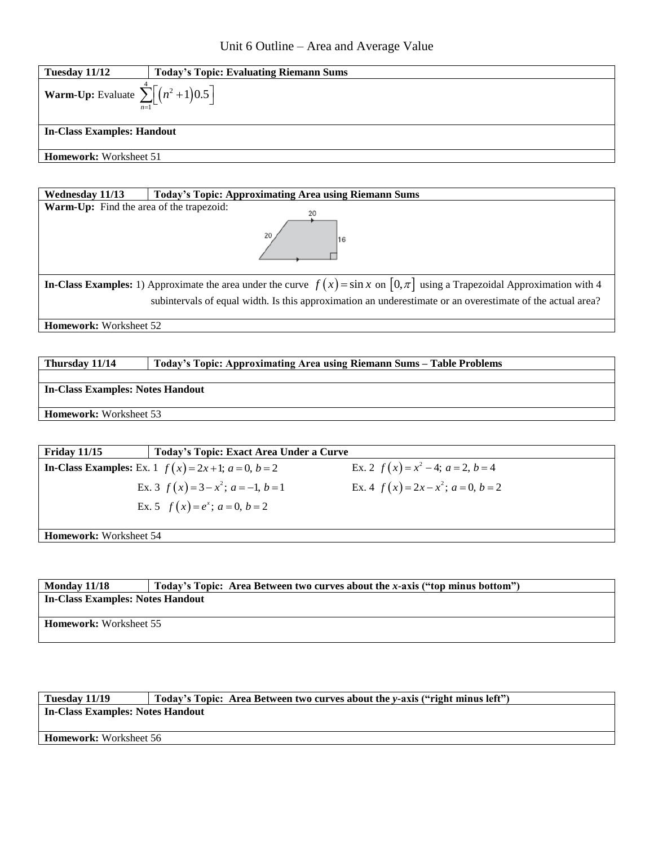

| <b>Today's Topic: Approximating Area using Riemann Sums</b><br>Wednesday 11/13                                                           |  |  |
|------------------------------------------------------------------------------------------------------------------------------------------|--|--|
| <b>Warm-Up:</b> Find the area of the trapezoid:<br>20                                                                                    |  |  |
| 16                                                                                                                                       |  |  |
| <b>In-Class Examples:</b> 1) Approximate the area under the curve $f(x) = \sin x$ on $[0, \pi]$ using a Trapezoidal Approximation with 4 |  |  |
| subintervals of equal width. Is this approximation an underestimate or an overestimate of the actual area?                               |  |  |

**Homework: Worksheet 52** 

**Thursday 11/14 Today's Topic: Approximating Area using Riemann Sums – Table Problems**

**In-Class Examples: Notes Handout**

**Homework:** Worksheet 53

| <b>Friday 11/15</b>           | Today's Topic: Exact Area Under a Curve                          |                                            |
|-------------------------------|------------------------------------------------------------------|--------------------------------------------|
|                               | <b>In-Class Examples:</b> Ex. 1 $f(x) = 2x + 1$ ; $a = 0, b = 2$ | Ex. 2 $f(x) = x^2 - 4$ ; $a = 2$ , $b = 4$ |
|                               | Ex. 3 $f(x) = 3 - x^2$ ; $a = -1, b = 1$                         | Ex. 4 $f(x) = 2x - x^2$ ; $a = 0, b = 2$   |
|                               | Ex. 5 $f(x) = e^x$ ; $a = 0, b = 2$                              |                                            |
|                               |                                                                  |                                            |
| <b>Homework:</b> Worksheet 54 |                                                                  |                                            |

**Monday 11/18 Today's Topic: Area Between two curves about the** *x***-axis ("top minus bottom") In-Class Examples: Notes Handout Homework:** Worksheet 55

| Tuesday 11/19                    | Today's Topic: Area Between two curves about the y-axis ("right minus left") |  |  |
|----------------------------------|------------------------------------------------------------------------------|--|--|
| In-Class Examples: Notes Handout |                                                                              |  |  |
|                                  |                                                                              |  |  |
| <b>Homework:</b> Worksheet 56    |                                                                              |  |  |